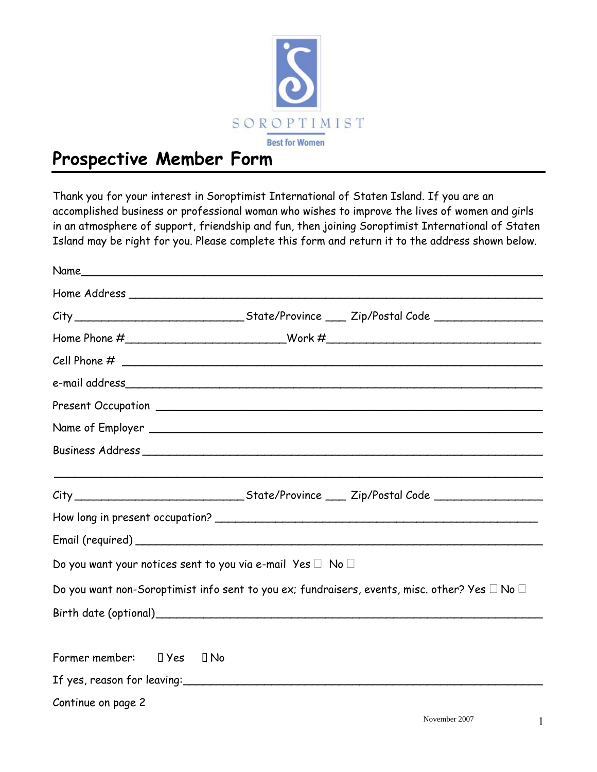

## **Prospective Member Form**

Thank you for your interest in Soroptimist International of Staten Island. If you are an accomplished business or professional woman who wishes to improve the lives of women and girls in an atmosphere of support, friendship and fun, then joining Soroptimist International of Staten Island may be right for you. Please complete this form and return it to the address shown below.

| Name                                                                       |                                                                                                         |
|----------------------------------------------------------------------------|---------------------------------------------------------------------------------------------------------|
|                                                                            |                                                                                                         |
|                                                                            |                                                                                                         |
|                                                                            | Home Phone #_____________________________Work #_________________________________                        |
|                                                                            |                                                                                                         |
|                                                                            |                                                                                                         |
|                                                                            |                                                                                                         |
|                                                                            |                                                                                                         |
|                                                                            |                                                                                                         |
|                                                                            |                                                                                                         |
|                                                                            |                                                                                                         |
|                                                                            |                                                                                                         |
|                                                                            |                                                                                                         |
| Do you want your notices sent to you via e-mail Yes $\square$ No $\square$ |                                                                                                         |
|                                                                            | Do you want non-Soroptimist info sent to you ex; fundraisers, events, misc. other? Yes $\Box$ No $\Box$ |
|                                                                            |                                                                                                         |
| Former member: $\Box$ Yes $\Box$ No                                        |                                                                                                         |
|                                                                            |                                                                                                         |
| Continue on page 2                                                         |                                                                                                         |